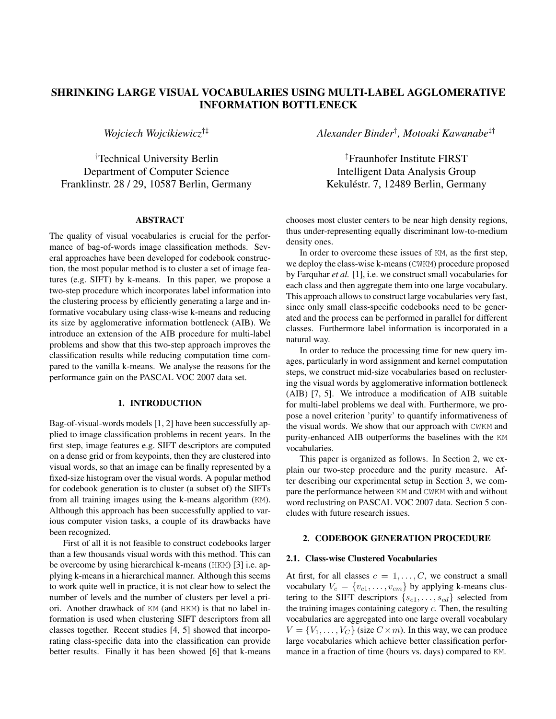# SHRINKING LARGE VISUAL VOCABULARIES USING MULTI-LABEL AGGLOMERATIVE INFORMATION BOTTLENECK

*Wojciech Wojcikiewicz*†‡

†Technical University Berlin Department of Computer Science Franklinstr. 28 / 29, 10587 Berlin, Germany

### ABSTRACT

The quality of visual vocabularies is crucial for the performance of bag-of-words image classification methods. Several approaches have been developed for codebook construction, the most popular method is to cluster a set of image features (e.g. SIFT) by k-means. In this paper, we propose a two-step procedure which incorporates label information into the clustering process by efficiently generating a large and informative vocabulary using class-wise k-means and reducing its size by agglomerative information bottleneck (AIB). We introduce an extension of the AIB procedure for multi-label problems and show that this two-step approach improves the classification results while reducing computation time compared to the vanilla k-means. We analyse the reasons for the performance gain on the PASCAL VOC 2007 data set.

### 1. INTRODUCTION

Bag-of-visual-words models [1, 2] have been successfully applied to image classification problems in recent years. In the first step, image features e.g. SIFT descriptors are computed on a dense grid or from keypoints, then they are clustered into visual words, so that an image can be finally represented by a fixed-size histogram over the visual words. A popular method for codebook generation is to cluster (a subset of) the SIFTs from all training images using the k-means algorithm (KM). Although this approach has been successfully applied to various computer vision tasks, a couple of its drawbacks have been recognized.

First of all it is not feasible to construct codebooks larger than a few thousands visual words with this method. This can be overcome by using hierarchical k-means (HKM) [3] i.e. applying k-means in a hierarchical manner. Although this seems to work quite well in practice, it is not clear how to select the number of levels and the number of clusters per level a priori. Another drawback of KM (and HKM) is that no label information is used when clustering SIFT descriptors from all classes together. Recent studies [4, 5] showed that incorporating class-specific data into the classification can provide better results. Finally it has been showed [6] that k-means

*Alexander Binder*† *, Motoaki Kawanabe*‡†

‡Fraunhofer Institute FIRST Intelligent Data Analysis Group Kekuléstr. 7, 12489 Berlin, Germany

chooses most cluster centers to be near high density regions, thus under-representing equally discriminant low-to-medium density ones.

In order to overcome these issues of KM, as the first step, we deploy the class-wise k-means (CWKM) procedure proposed by Farquhar *et al.* [1], i.e. we construct small vocabularies for each class and then aggregate them into one large vocabulary. This approach allows to construct large vocabularies very fast, since only small class-specific codebooks need to be generated and the process can be performed in parallel for different classes. Furthermore label information is incorporated in a natural way.

In order to reduce the processing time for new query images, particularly in word assignment and kernel computation steps, we construct mid-size vocabularies based on reclustering the visual words by agglomerative information bottleneck (AIB) [7, 5]. We introduce a modification of AIB suitable for multi-label problems we deal with. Furthermore, we propose a novel criterion 'purity' to quantify informativeness of the visual words. We show that our approach with CWKM and purity-enhanced AIB outperforms the baselines with the KM vocabularies.

This paper is organized as follows. In Section 2, we explain our two-step procedure and the purity measure. After describing our experimental setup in Section 3, we compare the performance between KM and CWKM with and without word reclustring on PASCAL VOC 2007 data. Section 5 concludes with future research issues.

## 2. CODEBOOK GENERATION PROCEDURE

#### 2.1. Class-wise Clustered Vocabularies

At first, for all classes  $c = 1, \ldots, C$ , we construct a small vocabulary  $V_c = \{v_{c1}, \ldots, v_{cm}\}\$  by applying k-means clustering to the SIFT descriptors  $\{s_{c1}, \ldots, s_{cd}\}$  selected from the training images containing category  $c$ . Then, the resulting vocabularies are aggregated into one large overall vocabulary  $V = \{V_1, \ldots, V_C\}$  (size  $C \times m$ ). In this way, we can produce large vocabularies which achieve better classification performance in a fraction of time (hours vs. days) compared to KM.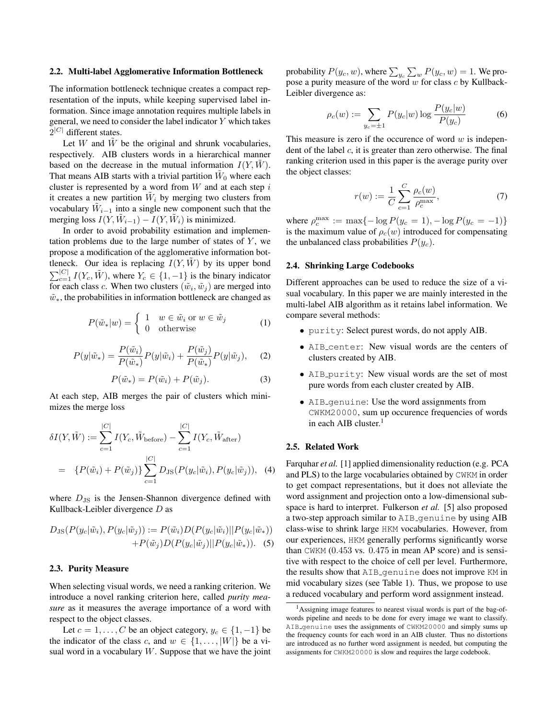#### 2.2. Multi-label Agglomerative Information Bottleneck

The information bottleneck technique creates a compact representation of the inputs, while keeping supervised label information. Since image annotation requires multiple labels in general, we need to consider the label indicator Y which takes  $2^{|C|}$  different states.

Let  $W$  and  $W$  be the original and shrunk vocabularies, respectively. AIB clusters words in a hierarchical manner based on the decrease in the mutual information  $I(Y, W)$ . That means AIB starts with a trivial partition  $\tilde{W}_0$  where each cluster is represented by a word from  $W$  and at each step i it creates a new partition  $\tilde{W}_i$  by merging two clusters from vocabulary  $\tilde{W}_{i-1}$  into a single new component such that the merging loss  $I(Y, \tilde{W}_{i-1}) - I(Y, \tilde{W}_i)$  is minimized.

In order to avoid probability estimation and implementation problems due to the large number of states of  $Y$ , we propose a modification of the agglomerative information bottleneck. Our idea is replacing  $I(Y, W)$  by its upper bond  $\sum_{c=1}^{|C|} I(Y_c, \tilde{W})$ , where  $Y_c \in \{1, -1\}$  is the binary indicator for each class c. When two clusters  $(\tilde{w}_i, \tilde{w}_j)$  are merged into  $\tilde{w}_*$ , the probabilities in information bottleneck are changed as

$$
P(\tilde{w}_*|w) = \begin{cases} 1 & w \in \tilde{w}_i \text{ or } w \in \tilde{w}_j \\ 0 & \text{otherwise} \end{cases}
$$
 (1)

$$
P(y|\tilde{w}_*) = \frac{P(\tilde{w}_i)}{P(\tilde{w}_*)} P(y|\tilde{w}_i) + \frac{P(\tilde{w}_j)}{P(\tilde{w}_*)} P(y|\tilde{w}_j), \quad (2)
$$

$$
P(\tilde{w}_*) = P(\tilde{w}_i) + P(\tilde{w}_j). \tag{3}
$$

At each step, AIB merges the pair of clusters which minimizes the merge loss

$$
\delta I(Y, \tilde{W}) := \sum_{c=1}^{|C|} I(Y_c, \tilde{W}_{before}) - \sum_{c=1}^{|C|} I(Y_c, \tilde{W}_{after})
$$
  
= {P(\tilde{w}\_i) + P(\tilde{w}\_j)}  $\sum_{c=1}^{|C|} D_{JS}(P(y_c|\tilde{w}_i), P(y_c|\tilde{w}_j)),$  (4)

where  $D_{\text{JS}}$  is the Jensen-Shannon divergence defined with Kullback-Leibler divergence D as

$$
D_{\text{JS}}(P(y_c|\tilde{w}_i), P(y_c|\tilde{w}_j)) := P(\tilde{w}_i)D(P(y_c|\tilde{w}_i)||P(y_c|\tilde{w}_*))
$$
  
+
$$
P(\tilde{w}_j)D(P(y_c|\tilde{w}_j)||P(y_c|\tilde{w}_*)).
$$
 (5)

#### 2.3. Purity Measure

When selecting visual words, we need a ranking criterion. We introduce a novel ranking criterion here, called *purity measure* as it measures the average importance of a word with respect to the object classes.

Let  $c = 1, \ldots, C$  be an object category,  $y_c \in \{1, -1\}$  be the indicator of the class c, and  $w \in \{1, \ldots, |W|\}$  be a visual word in a vocabulary  $W$ . Suppose that we have the joint

probability  $P(y_c, w)$ , where  $\sum_{y_c}\sum_w P(y_c, w) = 1$ . We propose a purity measure of the word  $w$  for class  $c$  by Kullback-Leibler divergence as:

$$
\rho_c(w) := \sum_{y_c=\pm 1} P(y_c|w) \log \frac{P(y_c|w)}{P(y_c)}
$$
(6)

This measure is zero if the occurence of word  $w$  is independent of the label  $c$ , it is greater than zero otherwise. The final ranking criterion used in this paper is the average purity over the object classes:

$$
r(w) := \frac{1}{C} \sum_{c=1}^{C} \frac{\rho_c(w)}{\rho_c^{\max}},
$$
 (7)

where  $\rho_c^{\max} := \max\{-\log P(y_c = 1), -\log P(y_c = -1)\}\$ is the maximum value of  $\rho_c(w)$  introduced for compensating the unbalanced class probabilities  $P(y_c)$ .

#### 2.4. Shrinking Large Codebooks

Different approaches can be used to reduce the size of a visual vocabulary. In this paper we are mainly interested in the multi-label AIB algorithm as it retains label information. We compare several methods:

- purity: Select purest words, do not apply AIB.
- AIB center: New visual words are the centers of clusters created by AIB.
- AIB purity: New visual words are the set of most pure words from each cluster created by AIB.
- AIB genuine: Use the word assignments from CWKM20000, sum up occurence frequencies of words in each AIB cluster. $<sup>1</sup>$ </sup>

#### 2.5. Related Work

Farquhar *et al.* [1] applied dimensionality reduction (e.g. PCA and PLS) to the large vocabularies obtained by CWKM in order to get compact representations, but it does not alleviate the word assignment and projection onto a low-dimensional subspace is hard to interpret. Fulkerson *et al.* [5] also proposed a two-step approach similar to AIB genuine by using AIB class-wise to shrink large HKM vocabularies. However, from our experiences, HKM generally performs significantly worse than CWKM (0.453 vs. 0.475 in mean AP score) and is sensitive with respect to the choice of cell per level. Furthermore, the results show that AIB genuine does not improve KM in mid vocabulary sizes (see Table 1). Thus, we propose to use a reduced vocabulary and perform word assignment instead.

<sup>&</sup>lt;sup>1</sup>Assigning image features to nearest visual words is part of the bag-ofwords pipeline and needs to be done for every image we want to classify. AIB genuine uses the assignments of CWKM20000 and simply sums up the frequency counts for each word in an AIB cluster. Thus no distortions are introduced as no further word assignment is needed, but computing the assignments for CWKM20000 is slow and requires the large codebook.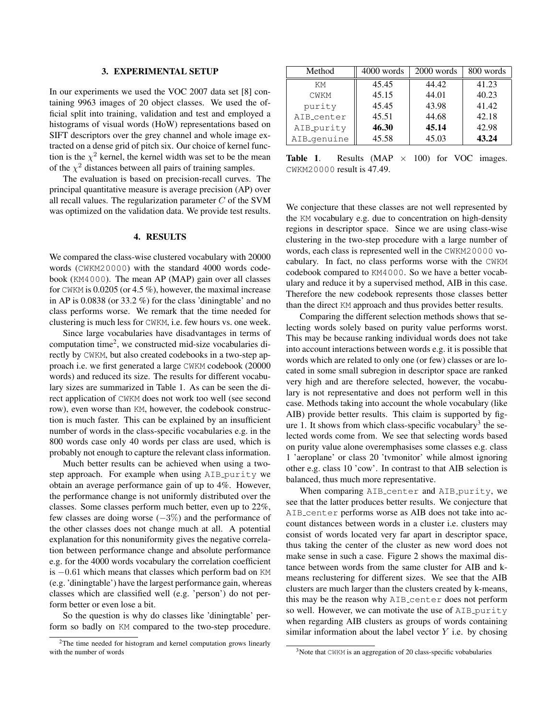#### 3. EXPERIMENTAL SETUP

In our experiments we used the VOC 2007 data set [8] containing 9963 images of 20 object classes. We used the official split into training, validation and test and employed a histograms of visual words (HoW) representations based on SIFT descriptors over the grey channel and whole image extracted on a dense grid of pitch six. Our choice of kernel function is the  $\chi^2$  kernel, the kernel width was set to be the mean of the  $\chi^2$  distances between all pairs of training samples.

The evaluation is based on precision-recall curves. The principal quantitative measure is average precision (AP) over all recall values. The regularization parameter  $C$  of the SVM was optimized on the validation data. We provide test results.

#### 4. RESULTS

We compared the class-wise clustered vocabulary with 20000 words (CWKM20000) with the standard 4000 words codebook (KM4000). The mean AP (MAP) gain over all classes for CWKM is 0.0205 (or 4.5 %), however, the maximal increase in AP is 0.0838 (or 33.2 %) for the class 'diningtable' and no class performs worse. We remark that the time needed for clustering is much less for CWKM, i.e. few hours vs. one week.

Since large vocabularies have disadvantages in terms of computation time<sup>2</sup>, we constructed mid-size vocabularies directly by CWKM, but also created codebooks in a two-step approach i.e. we first generated a large CWKM codebook (20000 words) and reduced its size. The results for different vocabulary sizes are summarized in Table 1. As can be seen the direct application of CWKM does not work too well (see second row), even worse than KM, however, the codebook construction is much faster. This can be explained by an insufficient number of words in the class-specific vocabularies e.g. in the 800 words case only 40 words per class are used, which is probably not enough to capture the relevant class information.

Much better results can be achieved when using a twostep approach. For example when using AIB purity we obtain an average performance gain of up to 4%. However, the performance change is not uniformly distributed over the classes. Some classes perform much better, even up to 22%, few classes are doing worse (−3%) and the performance of the other classes does not change much at all. A potential explanation for this nonuniformity gives the negative correlation between performance change and absolute performance e.g. for the 4000 words vocabulary the correlation coefficient is −0.61 which means that classes which perform bad on KM (e.g. 'diningtable') have the largest performance gain, whereas classes which are classified well (e.g. 'person') do not perform better or even lose a bit.

So the question is why do classes like 'diningtable' perform so badly on KM compared to the two-step procedure.

| Method                   | 4000 words | 2000 words | 800 words |
|--------------------------|------------|------------|-----------|
| KМ                       | 45.45      | 44.42      | 41.23     |
| <b>CWKM</b>              | 45.15      | 44.01      | 40.23     |
| purity                   | 45.45      | 43.98      | 41.42     |
| AIB_center               | 45.51      | 44.68      | 42.18     |
| AIB_purity               | 46.30      | 45.14      | 42.98     |
| AIB <sub>-</sub> genuine | 45.58      | 45.03      | 43.24     |

**Table 1.** Results (MAP  $\times$  100) for VOC images. CWKM20000 result is 47.49.

We conjecture that these classes are not well represented by the KM vocabulary e.g. due to concentration on high-density regions in descriptor space. Since we are using class-wise clustering in the two-step procedure with a large number of words, each class is represented well in the CWKM20000 vocabulary. In fact, no class performs worse with the CWKM codebook compared to KM4000. So we have a better vocabulary and reduce it by a supervised method, AIB in this case. Therefore the new codebook represents those classes better than the direct KM approach and thus provides better results.

Comparing the different selection methods shows that selecting words solely based on purity value performs worst. This may be because ranking individual words does not take into account interactions between words e.g. it is possible that words which are related to only one (or few) classes or are located in some small subregion in descriptor space are ranked very high and are therefore selected, however, the vocabulary is not representative and does not perform well in this case. Methods taking into account the whole vocabulary (like AIB) provide better results. This claim is supported by figure 1. It shows from which class-specific vocabulary<sup>3</sup> the selected words come from. We see that selecting words based on purity value alone overemphasises some classes e.g. class 1 'aeroplane' or class 20 'tvmonitor' while almost ignoring other e.g. class 10 'cow'. In contrast to that AIB selection is balanced, thus much more representative.

When comparing AIB center and AIB purity, we see that the latter produces better results. We conjecture that AIB center performs worse as AIB does not take into account distances between words in a cluster i.e. clusters may consist of words located very far apart in descriptor space, thus taking the center of the cluster as new word does not make sense in such a case. Figure 2 shows the maximal distance between words from the same cluster for AIB and kmeans reclustering for different sizes. We see that the AIB clusters are much larger than the clusters created by k-means, this may be the reason why AIB center does not perform so well. However, we can motivate the use of AIB purity when regarding AIB clusters as groups of words containing similar information about the label vector  $Y$  i.e. by chosing

<sup>&</sup>lt;sup>2</sup>The time needed for histogram and kernel computation grows linearly with the number of words

<sup>3</sup>Note that CWKM is an aggregation of 20 class-specific vobabularies